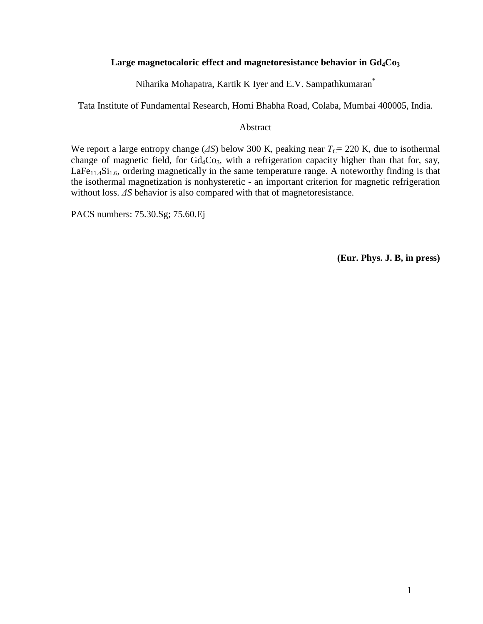### **Large magnetocaloric effect and magnetoresistance behavior in Gd4Co<sup>3</sup>**

Niharika Mohapatra, Kartik K Iyer and E.V. Sampathkumaran\*

Tata Institute of Fundamental Research, Homi Bhabha Road, Colaba, Mumbai 400005, India.

#### Abstract

We report a large entropy change (∆*S*) below 300 K, peaking near *TC*= 220 K, due to isothermal change of magnetic field, for  $Gd_4Co_3$ , with a refrigeration capacity higher than that for, say,  $LaFe<sub>11.4</sub>Si<sub>1.6</sub>$ , ordering magnetically in the same temperature range. A noteworthy finding is that the isothermal magnetization is nonhysteretic - an important criterion for magnetic refrigeration without loss. ∆*S* behavior is also compared with that of magnetoresistance.

PACS numbers: 75.30.Sg; 75.60.Ej

**(Eur. Phys. J. B, in press)**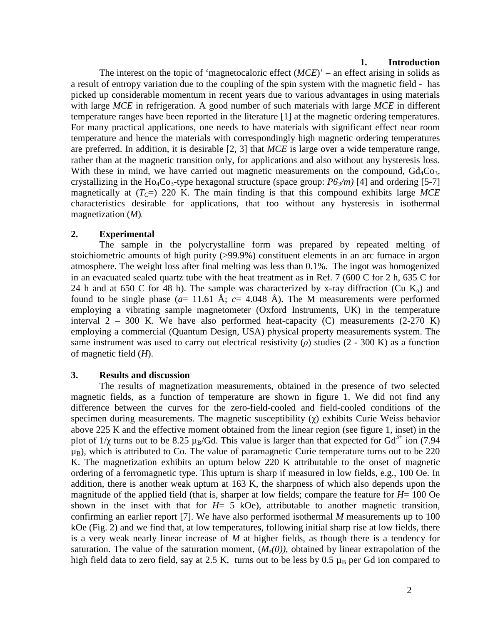#### **1. Introduction**

The interest on the topic of 'magnetocaloric effect (*MCE*)' – an effect arising in solids as a result of entropy variation due to the coupling of the spin system with the magnetic field - has picked up considerable momentum in recent years due to various advantages in using materials with large *MCE* in refrigeration. A good number of such materials with large *MCE* in different temperature ranges have been reported in the literature [1] at the magnetic ordering temperatures. For many practical applications, one needs to have materials with significant effect near room temperature and hence the materials with correspondingly high magnetic ordering temperatures are preferred. In addition, it is desirable [2, 3] that *MCE* is large over a wide temperature range, rather than at the magnetic transition only, for applications and also without any hysteresis loss. With these in mind, we have carried out magnetic measurements on the compound,  $Gd_4Co_3$ , crystallizing in the Ho<sub>4</sub>Co<sub>3</sub>-type hexagonal structure (space group:  $P6<sub>3</sub>/m$ ) [4] and ordering [5-7] magnetically at  $(T<sub>C</sub>=)$  220 K. The main finding is that this compound exhibits large *MCE* characteristics desirable for applications, that too without any hysteresis in isothermal magnetization (*M*)*.*

### **2. Experimental**

The sample in the polycrystalline form was prepared by repeated melting of stoichiometric amounts of high purity (>99.9%) constituent elements in an arc furnace in argon atmosphere. The weight loss after final melting was less than 0.1%. The ingot was homogenized in an evacuated sealed quartz tube with the heat treatment as in Ref. 7 (600 C for 2 h, 635 C for 24 h and at 650 C for 48 h). The sample was characterized by x-ray diffraction (Cu  $K_{q}$ ) and found to be single phase  $(a= 11.61 \text{ Å}; c= 4.048 \text{ Å})$ . The M measurements were performed employing a vibrating sample magnetometer (Oxford Instruments, UK) in the temperature interval  $2 - 300$  K. We have also performed heat-capacity (C) measurements (2-270 K) employing a commercial (Quantum Design, USA) physical property measurements system. The same instrument was used to carry out electrical resistivity  $(\rho)$  studies (2 - 300 K) as a function of magnetic field (*H*).

### **3. Results and discussion**

The results of magnetization measurements, obtained in the presence of two selected magnetic fields, as a function of temperature are shown in figure 1. We did not find any difference between the curves for the zero-field-cooled and field-cooled conditions of the specimen during measurements. The magnetic susceptibility  $(\gamma)$  exhibits Curie Weiss behavior above 225 K and the effective moment obtained from the linear region (see figure 1, inset) in the plot of  $1/\chi$  turns out to be 8.25  $\mu_B/Gd$ . This value is larger than that expected for  $Gd^{3+}$  ion (7.94)  $\mu_B$ ), which is attributed to Co. The value of paramagnetic Curie temperature turns out to be 220 K. The magnetization exhibits an upturn below 220 K attributable to the onset of magnetic ordering of a ferromagnetic type. This upturn is sharp if measured in low fields, e.g., 100 Oe. In addition, there is another weak upturn at 163 K, the sharpness of which also depends upon the magnitude of the applied field (that is, sharper at low fields; compare the feature for *H*= 100 Oe shown in the inset with that for  $H=5$  kOe), attributable to another magnetic transition, confirming an earlier report [7]. We have also performed isothermal *M* measurements up to 100 kOe (Fig. 2) and we find that, at low temperatures, following initial sharp rise at low fields, there is a very weak nearly linear increase of *M* at higher fields, as though there is a tendency for saturation. The value of the saturation moment,  $(M_s(0))$ , obtained by linear extrapolation of the high field data to zero field, say at 2.5 K, turns out to be less by 0.5  $\mu_B$  per Gd ion compared to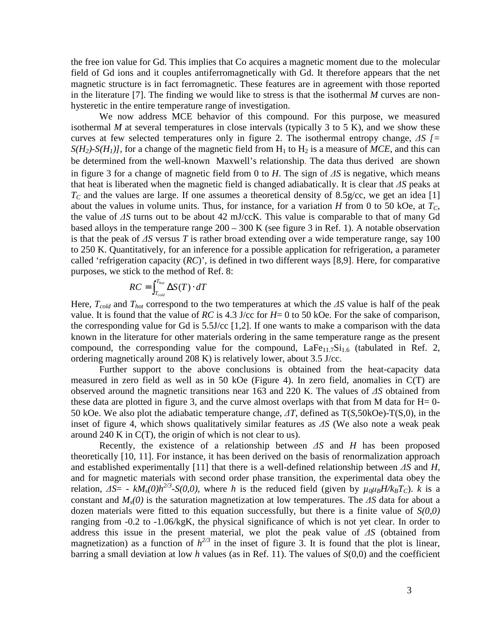the free ion value for Gd. This implies that Co acquires a magnetic moment due to the molecular field of Gd ions and it couples antiferromagnetically with Gd. It therefore appears that the net magnetic structure is in fact ferromagnetic. These features are in agreement with those reported in the literature [7]. The finding we would like to stress is that the isothermal *M* curves are nonhysteretic in the entire temperature range of investigation.

 We now address MCE behavior of this compound. For this purpose, we measured isothermal *M* at several temperatures in close intervals (typically 3 to 5 K), and we show these curves at few selected temperatures only in figure 2. The isothermal entropy change, ∆*S [=*   $S(H_2)$ - $S(H_1)$ ], for a change of the magnetic field from  $H_1$  to  $H_2$  is a measure of *MCE*, and this can be determined from the well-known Maxwell's relationship. The data thus derived are shown in figure 3 for a change of magnetic field from 0 to *H*. The sign of ∆*S* is negative, which means that heat is liberated when the magnetic field is changed adiabatically. It is clear that ∆*S* peaks at  $T_c$  and the values are large. If one assumes a theoretical density of 8.5g/cc, we get an idea [1] about the values in volume units. Thus, for instance, for a variation *H* from 0 to 50 kOe, at  $T_c$ , the value of ∆*S* turns out to be about 42 mJ/ccK. This value is comparable to that of many Gd based alloys in the temperature range  $200 - 300$  K (see figure 3 in Ref. 1). A notable observation is that the peak of ∆*S* versus *T* is rather broad extending over a wide temperature range, say 100 to 250 K. Quantitatively, for an inference for a possible application for refrigeration, a parameter called 'refrigeration capacity (*RC*)', is defined in two different ways [8,9]. Here, for comparative purposes, we stick to the method of Ref. 8:

$$
RC = \int_{T_{cold}}^{T_{hot}} \Delta S(T) \cdot dT
$$

Here, *Tcold* and *Thot* correspond to the two temperatures at which the ∆*S* value is half of the peak value. It is found that the value of *RC* is 4.3 J/cc for *H*= 0 to 50 kOe. For the sake of comparison, the corresponding value for Gd is  $5.5J$ /cc [1,2]. If one wants to make a comparison with the data known in the literature for other materials ordering in the same temperature range as the present compound, the corresponding value for the compound,  $LaFe<sub>11.7</sub>Si<sub>1.6</sub>$  (tabulated in Ref. 2, ordering magnetically around 208 K) is relatively lower, about 3.5 J/cc.

 Further support to the above conclusions is obtained from the heat-capacity data measured in zero field as well as in 50 kOe (Figure 4). In zero field, anomalies in C(T) are observed around the magnetic transitions near 163 and 220 K. The values of ∆*S* obtained from these data are plotted in figure 3, and the curve almost overlaps with that from M data for  $H=0$ -50 kOe. We also plot the adiabatic temperature change, ∆*T*, defined as T(*S*,50kOe)-T(S,0), in the inset of figure 4, which shows qualitatively similar features as ∆*S* (We also note a weak peak around 240 K in C(T), the origin of which is not clear to us).

Recently, the existence of a relationship between ∆*S* and *H* has been proposed theoretically [10, 11]. For instance, it has been derived on the basis of renormalization approach and established experimentally [11] that there is a well-defined relationship between ∆*S* and *H*, and for magnetic materials with second order phase transition, the experimental data obey the relation,  $\Delta S = -kM_s(0)h^{2/3}S(0,0)$ , where *h* is the reduced field (given by  $\mu_0\mu_B H/k_B T_c$ ). *k* is a constant and *Ms(0)* is the saturation magnetization at low temperatures. The ∆*S* data for about a dozen materials were fitted to this equation successfully, but there is a finite value of *S(0,0)* ranging from -0.2 to -1.06/kgK, the physical significance of which is not yet clear. In order to address this issue in the present material, we plot the peak value of ∆*S* (obtained from magnetization) as a function of  $h^{2/3}$  in the inset of figure 3. It is found that the plot is linear, barring a small deviation at low *h* values (as in Ref. 11). The values of *S*(0,0) and the coefficient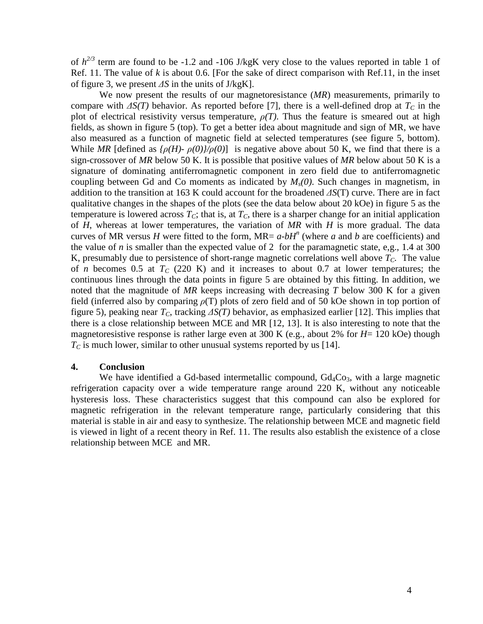of  $h^{2/3}$  term are found to be -1.2 and -106 J/kgK very close to the values reported in table 1 of Ref. 11. The value of *k* is about 0.6. [For the sake of direct comparison with Ref.11, in the inset of figure 3, we present ∆*S* in the units of J/kgK].

 We now present the results of our magnetoresistance (*MR*) measurements, primarily to compare with  $\Delta S(T)$  behavior. As reported before [7], there is a well-defined drop at  $T_C$  in the plot of electrical resistivity versus temperature,  $\rho(T)$ . Thus the feature is smeared out at high fields, as shown in figure 5 (top). To get a better idea about magnitude and sign of MR, we have also measured as a function of magnetic field at selected temperatures (see figure 5, bottom). While *MR* [defined as  $\frac{\rho(H) - \rho(0)}{\rho(0)}$  is negative above about 50 K, we find that there is a sign-crossover of *MR* below 50 K. It is possible that positive values of *MR* below about 50 K is a signature of dominating antiferromagnetic component in zero field due to antiferromagnetic coupling between Gd and Co moments as indicated by *Ms(0)*. Such changes in magnetism, in addition to the transition at 163 K could account for the broadened ∆*S*(T) curve. There are in fact qualitative changes in the shapes of the plots (see the data below about 20 kOe) in figure 5 as the temperature is lowered across  $T_c$ ; that is, at  $T_c$ , there is a sharper change for an initial application of *H*, whereas at lower temperatures, the variation of *MR* with *H* is more gradual. The data curves of MR versus *H* were fitted to the form, MR=  $a$ - $bH^n$  (where *a* and *b* are coefficients) and the value of *n* is smaller than the expected value of 2 for the paramagnetic state, e,g., 1.4 at 300 K, presumably due to persistence of short-range magnetic correlations well above  $T_c$ . The value of *n* becomes 0.5 at  $T_c$  (220 K) and it increases to about 0.7 at lower temperatures; the continuous lines through the data points in figure 5 are obtained by this fitting. In addition, we noted that the magnitude of *MR* keeps increasing with decreasing *T* below 300 K for a given field (inferred also by comparing  $\rho(T)$  plots of zero field and of 50 kOe shown in top portion of figure 5), peaking near *TC*, tracking ∆*S(T)* behavior, as emphasized earlier [12]. This implies that there is a close relationship between MCE and MR [12, 13]. It is also interesting to note that the magnetoresistive response is rather large even at 300 K (e.g., about 2% for *H*= 120 kOe) though  $T_c$  is much lower, similar to other unusual systems reported by us [14].

### **4. Conclusion**

We have identified a Gd-based intermetallic compound,  $Gd_4Co_3$ , with a large magnetic refrigeration capacity over a wide temperature range around 220 K, without any noticeable hysteresis loss. These characteristics suggest that this compound can also be explored for magnetic refrigeration in the relevant temperature range, particularly considering that this material is stable in air and easy to synthesize. The relationship between MCE and magnetic field is viewed in light of a recent theory in Ref. 11. The results also establish the existence of a close relationship between MCE and MR.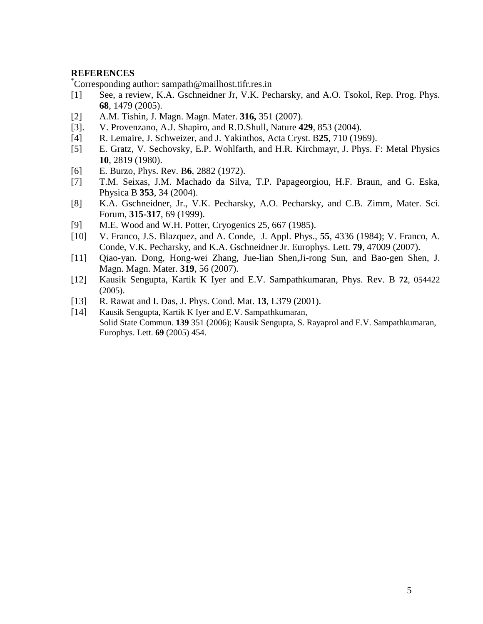## **REFERENCES**

\*Corresponding author: sampath@mailhost.tifr.res.in

- [1] See, a review, K.A. Gschneidner Jr, V.K. Pecharsky, and A.O. Tsokol, Rep. Prog. Phys. **68**, 1479 (2005).
- [2] A.M. Tishin, J. Magn. Magn. Mater. **316,** 351 (2007).
- [3]. V. Provenzano, A.J. Shapiro, and R.D.Shull, Nature **429**, 853 (2004).
- [4] R. Lemaire, J. Schweizer, and J. Yakinthos, Acta Cryst. B**25**, 710 (1969).
- [5] E. Gratz, V. Sechovsky, E.P. Wohlfarth, and H.R. Kirchmayr, J. Phys. F: Metal Physics **10**, 2819 (1980).
- [6] E. Burzo, Phys. Rev. B**6**, 2882 (1972).
- [7] T.M. Seixas, J.M. Machado da Silva, T.P. Papageorgiou, H.F. Braun, and G. Eska, Physica B **353**, 34 (2004).
- [8] K.A. Gschneidner, Jr., V.K. Pecharsky, A.O. Pecharsky, and C.B. Zimm, Mater. Sci. Forum, **315-317**, 69 (1999).
- [9] M.E. Wood and W.H. Potter, Cryogenics 25, 667 (1985).
- [10] V. Franco, J.S. Blazquez, and A. Conde, J. Appl. Phys., **55**, 4336 (1984); V. Franco, A. Conde, V.K. Pecharsky, and K.A. Gschneidner Jr. Europhys. Lett. **79**, 47009 (2007).
- [11] Qiao-yan. Dong, Hong-wei Zhang, Jue-lian Shen,Ji-rong Sun, and Bao-gen Shen, J. Magn. Magn. Mater. **319**, 56 (2007).
- [12] Kausik Sengupta, Kartik K Iyer and E.V. Sampathkumaran, Phys. Rev. B **72**, 054422 (2005).
- [13] R. Rawat and I. Das, J. Phys. Cond. Mat. **13**, L379 (2001).
- [14] Kausik Sengupta, Kartik K Iyer and E.V. Sampathkumaran, Solid State Commun. **139** 351 (2006); Kausik Sengupta, S. Rayaprol and E.V. Sampathkumaran, Europhys. Lett. **69** (2005) 454.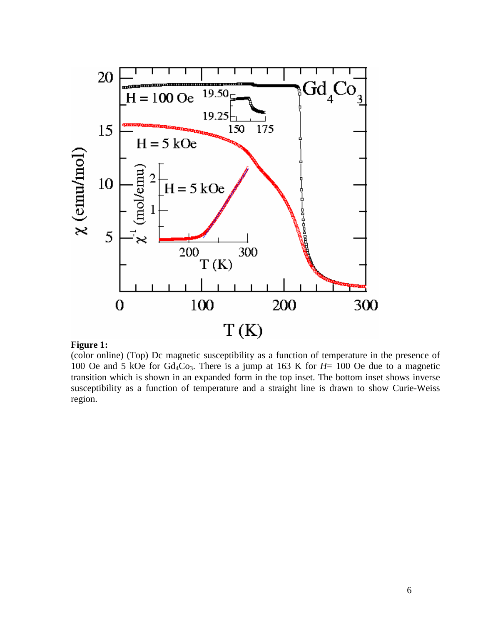

### **Figure 1:**

(color online) (Top) Dc magnetic susceptibility as a function of temperature in the presence of 100 Oe and 5 kOe for Gd4Co3. There is a jump at 163 K for *H*= 100 Oe due to a magnetic transition which is shown in an expanded form in the top inset. The bottom inset shows inverse susceptibility as a function of temperature and a straight line is drawn to show Curie-Weiss region.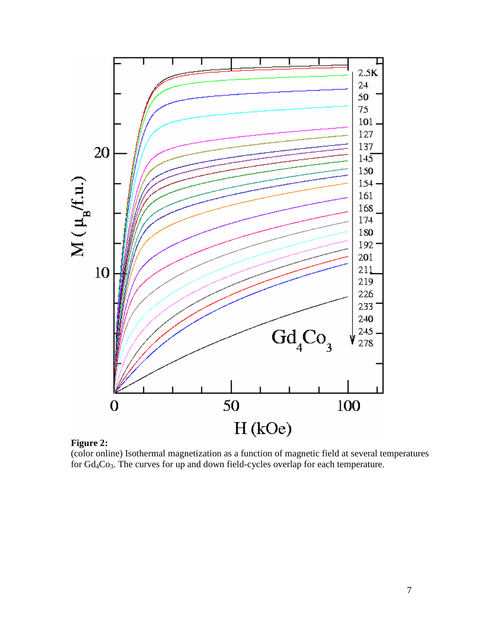

**Figure 2:** 

(color online) Isothermal magnetization as a function of magnetic field at several temperatures for Gd4Co3. The curves for up and down field-cycles overlap for each temperature.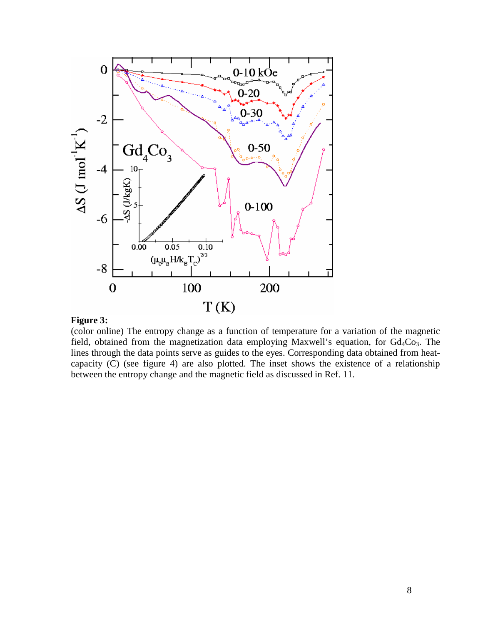

#### **Figure 3:**

(color online) The entropy change as a function of temperature for a variation of the magnetic field, obtained from the magnetization data employing Maxwell's equation, for  $Gd_4Co_3$ . The lines through the data points serve as guides to the eyes. Corresponding data obtained from heatcapacity (C) (see figure 4) are also plotted. The inset shows the existence of a relationship between the entropy change and the magnetic field as discussed in Ref. 11.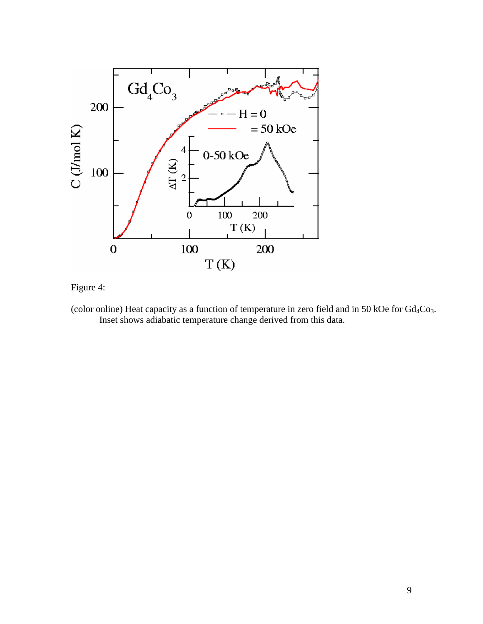

Figure 4:

(color online) Heat capacity as a function of temperature in zero field and in 50 kOe for  $Gd_4Co_3$ . Inset shows adiabatic temperature change derived from this data.